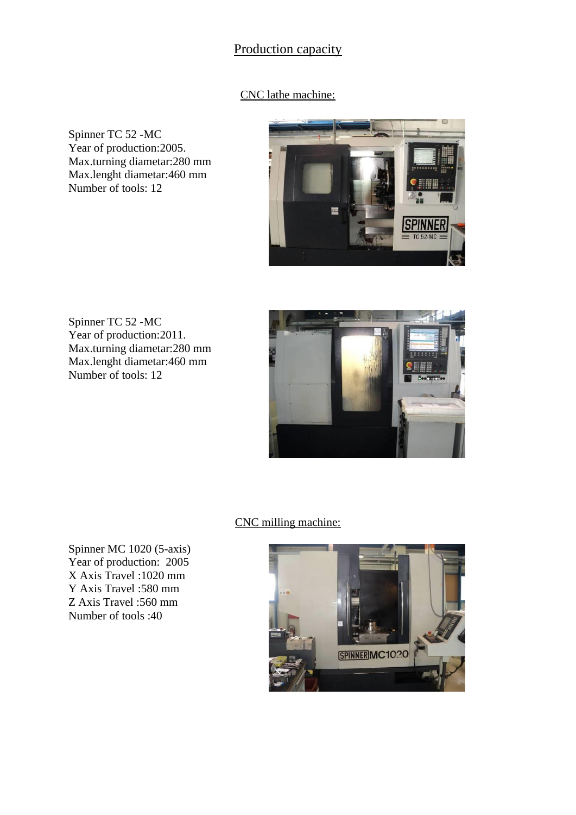## Production capacity

## CNC lathe machine:

Spinner TC 52 -MC Year of production: 2005. Max.turning diametar:280 mm Max.lenght diametar:460 mm Number of tools: 12



Spinner TC 52 -MC Year of production:2011. Max.turning diametar:280 mm Max.lenght diametar:460 mm Number of tools: 12



CNC milling machine:

Spinner MC 1020 (5-axis) Year of production: 2005 X Axis Travel :1020 mm Y Axis Travel :580 mm Z Axis Travel :560 mm Number of tools :40

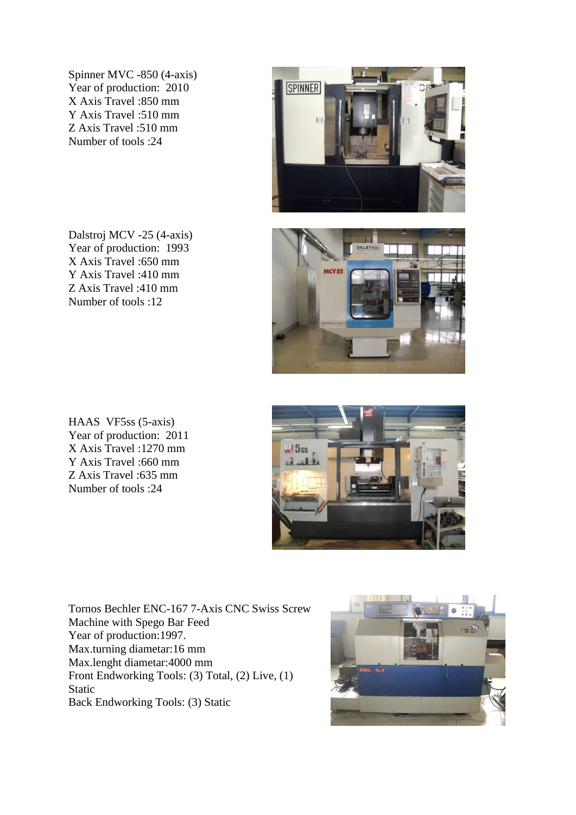Spinner MVC -850 (4-axis) Year of production: 2010 X Axis Travel :850 mm Y Axis Travel :510 mm Z Axis Travel :510 mm Number of tools :24

Dalstroj MCV -25 (4-axis) Year of production: 1993 X Axis Travel :650 mm Y Axis Travel :410 mm Z Axis Travel :410 mm Number of tools :12

HAAS VF5ss (5-axis) Year of production: 2011 X Axis Travel :1270 mm Y Axis Travel :660 mm Z Axis Travel :635 mm Number of tools :24

Tornos Bechler ENC-167 7-Axis CNC Swiss Screw Machine with Spego Bar Feed Year of production: 1997. Max.turning diametar:16 mm Max.lenght diametar:4000 mm Front Endworking Tools: (3) Total, (2) Live, (1) Static Back Endworking Tools: (3) Static







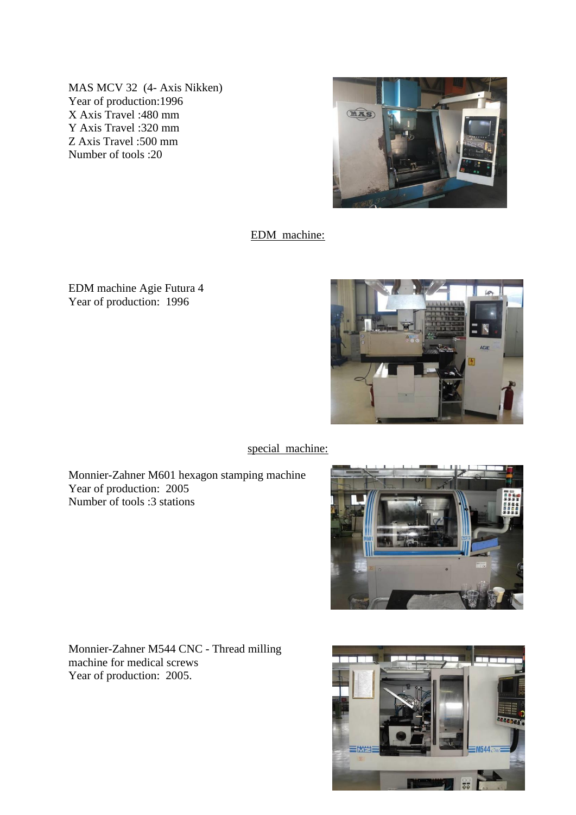MAS MCV 32 (4- Axis Nikken) Year of production:1996 X Axis Travel :480 mm Y Axis Travel :320 mm Z Axis Travel :500 mm Number of tools :20



EDM machine:

EDM machine Agie Futura 4 Year of production: 1996



special machine:

Monnier-Zahner M601 hexagon stamping machine Year of production: 2005 Number of tools :3 stations



Monnier-Zahner M544 CNC - Thread milling machine for medical screws Year of production: 2005.

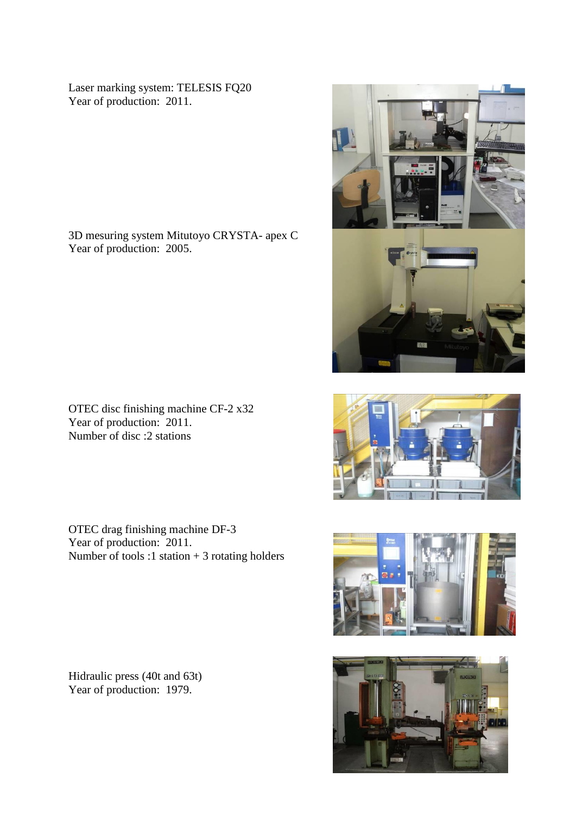Laser marking system: TELESIS FQ20 Year of production: 2011.

3D mesuring system Mitutoyo CRYSTA- apex C Year of production: 2005.

OTEC disc finishing machine CF-2 x32 Year of production: 2011. Number of disc :2 stations

OTEC drag finishing machine DF-3 Year of production: 2011. Number of tools :1 station  $+3$  rotating holders

Hidraulic press (40t and 63t) Year of production: 1979.







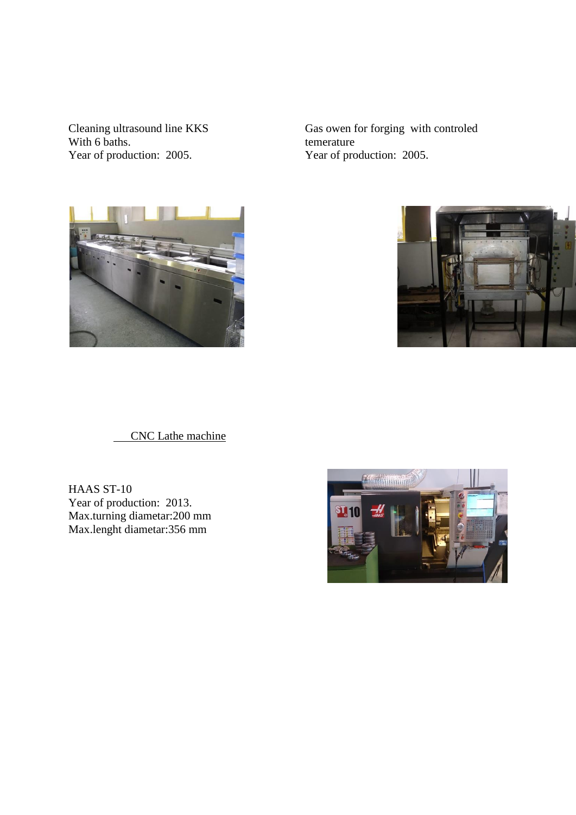Cleaning ultrasound line KKS With 6 baths. Year of production: 2005.

Gas owen for forging with controled temerature Year of production: 2005.





CNC Lathe machine

HAAS ST-10 Year of production: 2013. Max.turning diametar:200 mm Max.lenght diametar:356 mm